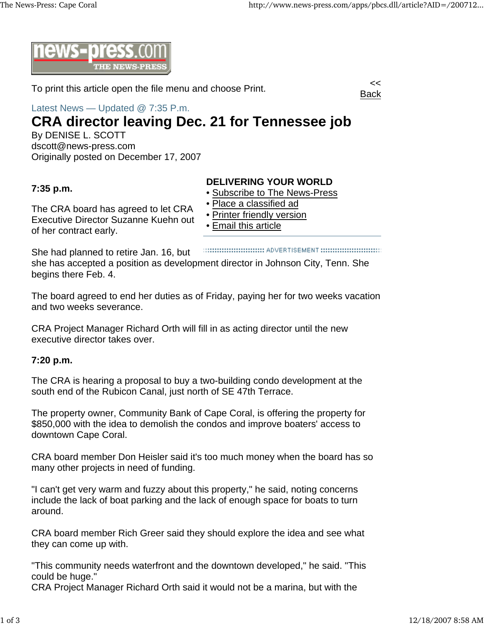

To print this article open the file menu and choose Print.



Latest News — Updated @ 7:35 P.m.

# **CRA director leaving Dec. 21 for Tennessee job**

By DENISE L. SCOTT dscott@news-press.com Originally posted on December 17, 2007

### **7:35 p.m.**

The CRA board has agreed to let CRA Executive Director Suzanne Kuehn out of her contract early.

## **DELIVERING YOUR WORLD**

- Subscribe to The News-Press
- Place a classified ad
- Printer friendly version
- Email this article

She had planned to retire Jan. 16, but she has accepted a position as development director in Johnson City, Tenn. She begins there Feb. 4.

The board agreed to end her duties as of Friday, paying her for two weeks vacation and two weeks severance.

CRA Project Manager Richard Orth will fill in as acting director until the new executive director takes over.

#### **7:20 p.m.**

The CRA is hearing a proposal to buy a two-building condo development at the south end of the Rubicon Canal, just north of SE 47th Terrace.

The property owner, Community Bank of Cape Coral, is offering the property for \$850,000 with the idea to demolish the condos and improve boaters' access to downtown Cape Coral.

CRA board member Don Heisler said it's too much money when the board has so many other projects in need of funding.

"I can't get very warm and fuzzy about this property," he said, noting concerns include the lack of boat parking and the lack of enough space for boats to turn around.

CRA board member Rich Greer said they should explore the idea and see what they can come up with.

"This community needs waterfront and the downtown developed," he said. "This could be huge."

CRA Project Manager Richard Orth said it would not be a marina, but with the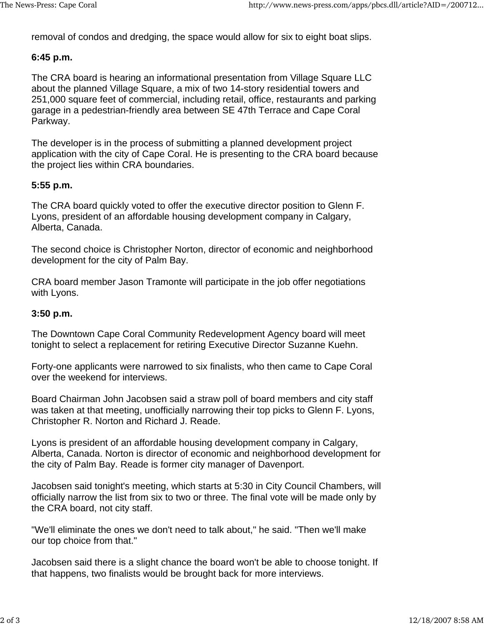removal of condos and dredging, the space would allow for six to eight boat slips.

#### **6:45 p.m.**

The CRA board is hearing an informational presentation from Village Square LLC about the planned Village Square, a mix of two 14-story residential towers and 251,000 square feet of commercial, including retail, office, restaurants and parking garage in a pedestrian-friendly area between SE 47th Terrace and Cape Coral Parkway.

The developer is in the process of submitting a planned development project application with the city of Cape Coral. He is presenting to the CRA board because the project lies within CRA boundaries.

#### **5:55 p.m.**

The CRA board quickly voted to offer the executive director position to Glenn F. Lyons, president of an affordable housing development company in Calgary, Alberta, Canada.

The second choice is Christopher Norton, director of economic and neighborhood development for the city of Palm Bay.

CRA board member Jason Tramonte will participate in the job offer negotiations with Lyons.

#### **3:50 p.m.**

The Downtown Cape Coral Community Redevelopment Agency board will meet tonight to select a replacement for retiring Executive Director Suzanne Kuehn.

Forty-one applicants were narrowed to six finalists, who then came to Cape Coral over the weekend for interviews.

Board Chairman John Jacobsen said a straw poll of board members and city staff was taken at that meeting, unofficially narrowing their top picks to Glenn F. Lyons, Christopher R. Norton and Richard J. Reade.

Lyons is president of an affordable housing development company in Calgary, Alberta, Canada. Norton is director of economic and neighborhood development for the city of Palm Bay. Reade is former city manager of Davenport.

Jacobsen said tonight's meeting, which starts at 5:30 in City Council Chambers, will officially narrow the list from six to two or three. The final vote will be made only by the CRA board, not city staff.

"We'll eliminate the ones we don't need to talk about," he said. "Then we'll make our top choice from that."

Jacobsen said there is a slight chance the board won't be able to choose tonight. If that happens, two finalists would be brought back for more interviews.